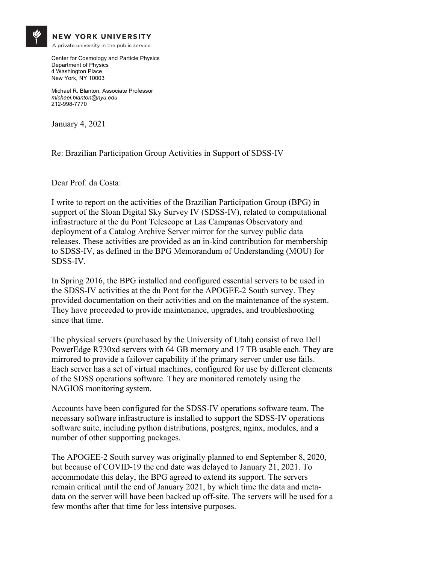

Center for Cosmology and Particle Physics Department of Physics 4 Washington Place New York, NY 10003

Michael R. Blanton, Associate Professor *michael.blanton@nyu.edu* 212-998-7770

January 4, 2021

Re: Brazilian Participation Group Activities in Support of SDSS-IV

Dear Prof. da Costa:

I write to report on the activities of the Brazilian Participation Group (BPG) in support of the Sloan Digital Sky Survey IV (SDSS-IV), related to computational infrastructure at the du Pont Telescope at Las Campanas Observatory and deployment of a Catalog Archive Server mirror for the survey public data releases. These activities are provided as an in-kind contribution for membership to SDSS-IV, as defined in the BPG Memorandum of Understanding (MOU) for SDSS-IV.

In Spring 2016, the BPG installed and configured essential servers to be used in the SDSS-IV activities at the du Pont for the APOGEE-2 South survey. They provided documentation on their activities and on the maintenance of the system. They have proceeded to provide maintenance, upgrades, and troubleshooting since that time.

The physical servers (purchased by the University of Utah) consist of two Dell PowerEdge R730xd servers with 64 GB memory and 17 TB usable each. They are mirrored to provide a failover capability if the primary server under use fails. Each server has a set of virtual machines, configured for use by different elements of the SDSS operations software. They are monitored remotely using the NAGIOS monitoring system.

Accounts have been configured for the SDSS-IV operations software team. The necessary software infrastructure is installed to support the SDSS-IV operations software suite, including python distributions, postgres, nginx, modules, and a number of other supporting packages.

The APOGEE-2 South survey was originally planned to end September 8, 2020, but because of COVID-19 the end date was delayed to January 21, 2021. To accommodate this delay, the BPG agreed to extend its support. The servers remain critical until the end of January 2021, by which time the data and metadata on the server will have been backed up off-site. The servers will be used for a few months after that time for less intensive purposes.